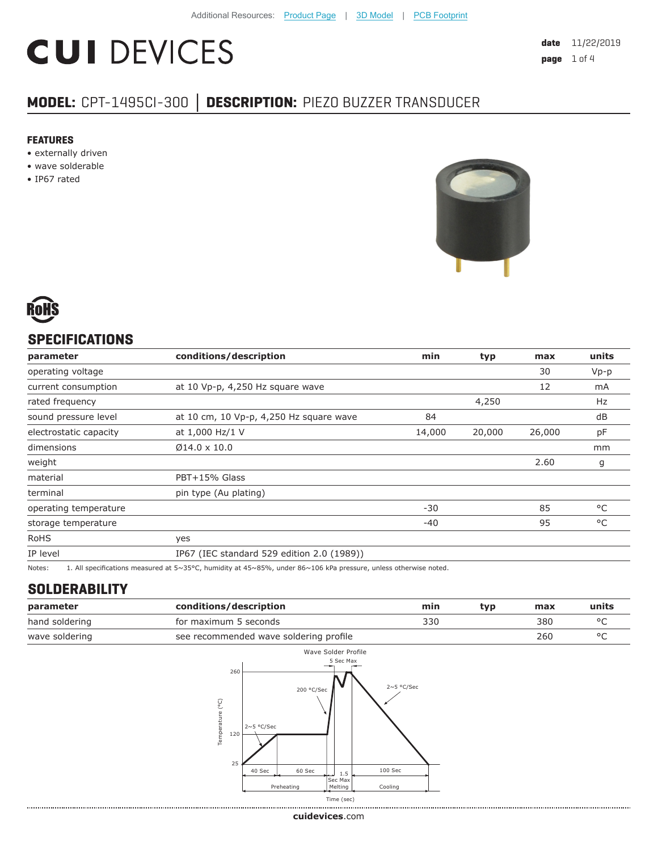# **CUI DEVICES**

**date** 11/22/2019 **page** 1 of 4

# **MODEL:** CPT-1495CI-300 **│ DESCRIPTION:** PIEZO BUZZER TRANSDUCER

#### **FEATURES**

- externally driven
- wave solderable
- IP67 rated





## **SPECIFICATIONS**

| parameter              | conditions/description                                                                                           | min    | typ    | max    | units  |
|------------------------|------------------------------------------------------------------------------------------------------------------|--------|--------|--------|--------|
| operating voltage      |                                                                                                                  |        |        | 30     | $Vp-p$ |
| current consumption    | at 10 Vp-p, 4,250 Hz square wave                                                                                 |        |        | 12     | mA     |
| rated frequency        |                                                                                                                  |        | 4,250  |        | Hz     |
| sound pressure level   | at 10 cm, 10 Vp-p, 4,250 Hz square wave                                                                          | 84     |        |        | dB     |
| electrostatic capacity | at 1,000 Hz/1 V                                                                                                  | 14,000 | 20,000 | 26,000 | pF     |
| dimensions             | $Ø14.0 \times 10.0$                                                                                              |        |        |        | mm     |
| weight                 |                                                                                                                  |        |        | 2.60   | g      |
| material               | PBT+15% Glass                                                                                                    |        |        |        |        |
| terminal               | pin type (Au plating)                                                                                            |        |        |        |        |
| operating temperature  |                                                                                                                  | $-30$  |        | 85     | °C     |
| storage temperature    |                                                                                                                  | $-40$  |        | 95     | °C     |
| <b>RoHS</b>            | yes                                                                                                              |        |        |        |        |
| IP level               | IP67 (IEC standard 529 edition 2.0 (1989))                                                                       |        |        |        |        |
| Notes:                 | 1. All specifications measured at 5~35°C, humidity at 45~85%, under 86~106 kPa pressure, unless otherwise noted. |        |        |        |        |

### **SOLDERABILITY**

| parameter                                                | conditions/description | min | typ | max | units |
|----------------------------------------------------------|------------------------|-----|-----|-----|-------|
| hand soldering                                           | for maximum 5 seconds  | 330 |     | 380 |       |
| see recommended wave soldering profile<br>wave soldering |                        |     |     | 260 |       |



**cui[devices](https://www.cuidevices.com/track?actionLabel=Datasheet-ClickThrough-HomePage&label=CPT-1495CI-300.pdf&path=/)**.com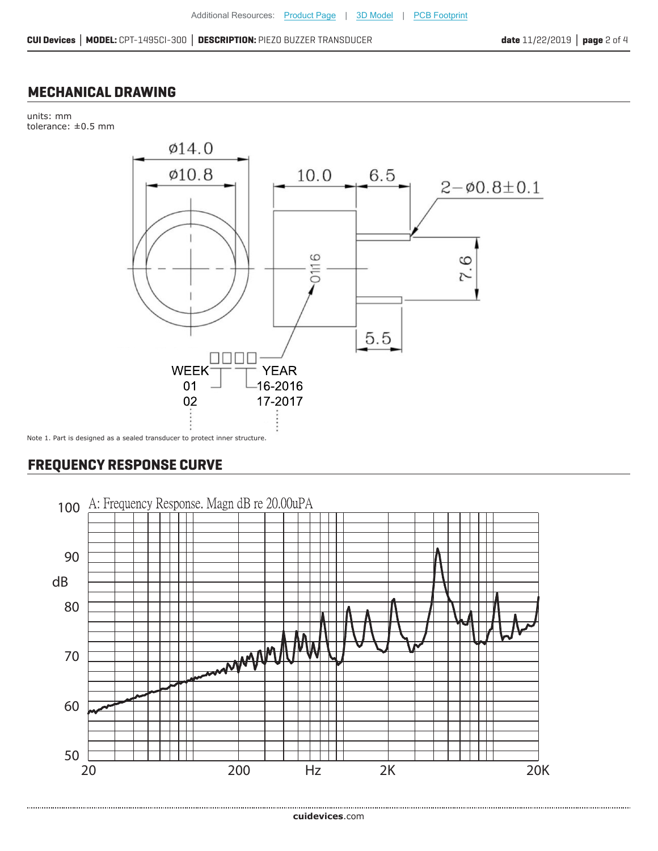#### **MECHANICAL DRAWING**

units: mm tolerance: ±0.5 mm



# **FREQUENCY RESPONSE CURVE**

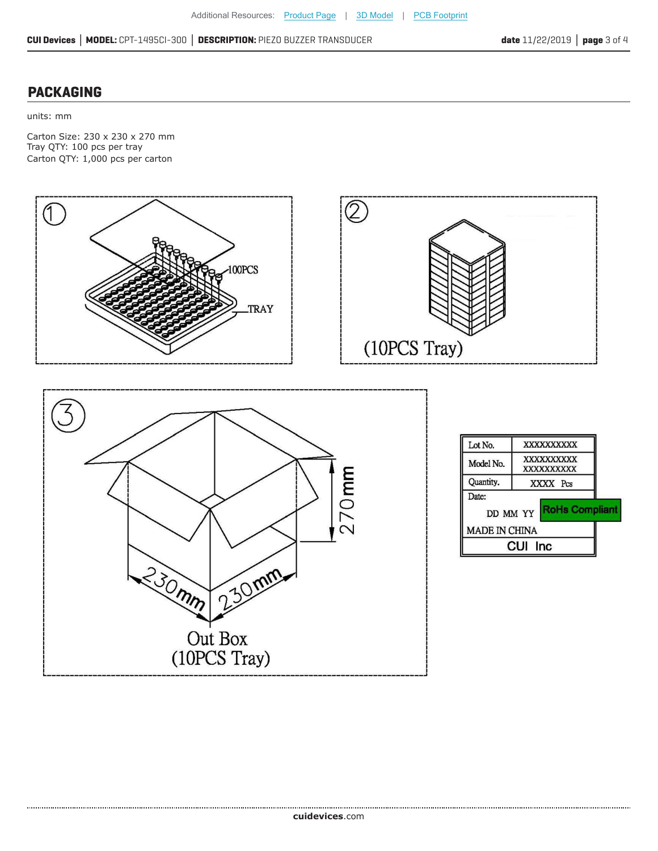# **PACKAGING**

units: mm

Carton Size: 230 x 230 x 270 mm Tray QTY: 100 pcs per tray Carton QTY: 1,000 pcs per carton





|                      | CUI Inc                         |  |  |
|----------------------|---------------------------------|--|--|
| <b>MADE IN CHINA</b> |                                 |  |  |
| Date:                | DD MM YY <b>RoHs Compliant</b>  |  |  |
| Quantity.            | XXXX Pcs                        |  |  |
| Model No.            | XXXXXXXXXX<br><b>XXXXXXXXXX</b> |  |  |
| Lot No.              | <b>XXXXXXXXXX</b>               |  |  |